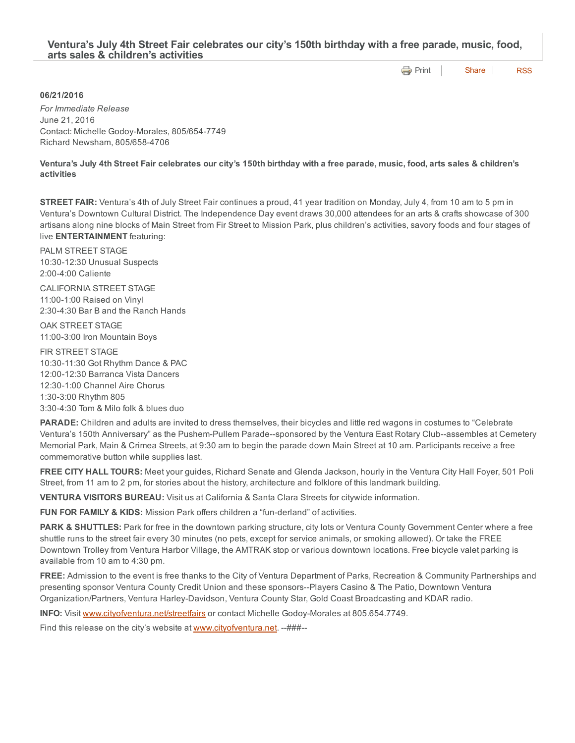## Ventura's July 4th Street Fair celebrates our city's 150th birthday with a free parade, music, food, arts sales & children's activities

**[Print](http://www.cityofventura.net/print/17767)** | [Share](javascript:void(0)) | [RSS](http://www.cityofventura.net/feed/press_release/rss.xml)

## 06/21/2016

*For Immediate Release* June 21, 2016 Contact: Michelle Godoy-Morales, 805/654-7749 Richard Newsham, 805/658-4706

Ventura's July 4th Street Fair celebrates our city's 150th birthday with a free parade, music, food, arts sales & children's activities

STREET FAIR: Ventura's 4th of July Street Fair continues a proud, 41 year tradition on Monday, July 4, from 10 am to 5 pm in Ventura's Downtown Cultural District. The Independence Day event draws 30,000 attendees for an arts & crafts showcase of 300 artisans along nine blocks of Main Street from Fir Street to Mission Park, plus children's activities, savory foods and four stages of live ENTERTAINMENT featuring:

PALM STREET STAGE 10:30-12:30 Unusual Suspects 2:004:00 Caliente

CALIFORNIA STREET STAGE 11:00-1:00 Raised on Vinyl 2:304:30 Bar B and the Ranch Hands

OAK STREET STAGE 11:00-3:00 Iron Mountain Boys

FIR STREET STAGE 10:3011:30 Got Rhythm Dance & PAC 12:00-12:30 Barranca Vista Dancers 12:30-1:00 Channel Aire Chorus 1:303:00 Rhythm 805 3:304:30 Tom & Milo folk & blues duo

PARADE: Children and adults are invited to dress themselves, their bicycles and little red wagons in costumes to "Celebrate Ventura's 150th Anniversary" as the Pushem-Pullem Parade--sponsored by the Ventura East Rotary Club--assembles at Cemetery Memorial Park, Main & Crimea Streets, at 9:30 am to begin the parade down Main Street at 10 am. Participants receive a free commemorative button while supplies last.

FREE CITY HALL TOURS: Meet your guides, Richard Senate and Glenda Jackson, hourly in the Ventura City Hall Foyer, 501 Poli Street, from 11 am to 2 pm, for stories about the history, architecture and folklore of this landmark building.

VENTURA VISITORS BUREAU: Visit us at California & Santa Clara Streets for citywide information.

FUN FOR FAMILY & KIDS: Mission Park offers children a "fun-derland" of activities.

PARK & SHUTTLES: Park for free in the downtown parking structure, city lots or Ventura County Government Center where a free shuttle runs to the street fair every 30 minutes (no pets, except for service animals, or smoking allowed). Or take the FREE Downtown Trolley from Ventura Harbor Village, the AMTRAK stop or various downtown locations. Free bicycle valet parking is available from 10 am to 4:30 pm.

FREE: Admission to the event is free thanks to the City of Ventura Department of Parks, Recreation & Community Partnerships and presenting sponsor Ventura County Credit Union and these sponsors--Players Casino & The Patio, Downtown Ventura Organization/Partners, Ventura Harley-Davidson, Ventura County Star, Gold Coast Broadcasting and KDAR radio.

INFO: Visit [www.cityofventura.net/streetfairs](http://www.cityofventura.net/streetfairs) or contact Michelle Godoy-Morales at 805.654.7749.

Find this release on the city's website at **www.cityofventura.net**. -- ## #--